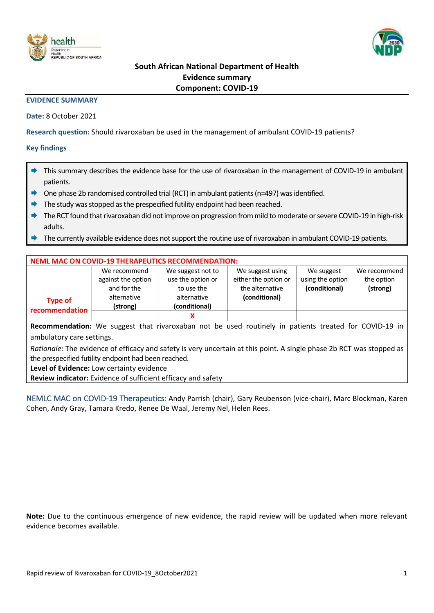



# **South African National Department of Health Evidence summary Component: COVID-19**

#### **EVIDENCE SUMMARY**

**Date:** 8 October 2021

**Research question:** Should rivaroxaban be used in the management of ambulant COVID-19 patients?

### **Key findings**

- This summary describes the evidence base for the use of rivaroxaban in the management of COVID-19 in ambulant patients.
- One phase 2b randomised controlled trial (RCT) in ambulant patients (n=497) was identified.
- The study was stopped as the prespecified futility endpoint had been reached.
- The RCT found that rivaroxaban did not improve on progression from mild to moderate or severe COVID-19 in high-risk adults.
- The currently available evidence does not support the routine use of rivaroxaban in ambulant COVID-19 patients.

| <b>NEML MAC ON COVID-19 THERAPEUTICS RECOMMENDATION:</b> |                    |                   |                      |                  |              |  |  |  |  |  |
|----------------------------------------------------------|--------------------|-------------------|----------------------|------------------|--------------|--|--|--|--|--|
|                                                          | We recommend       | We suggest not to | We suggest using     | We suggest       | We recommend |  |  |  |  |  |
|                                                          | against the option | use the option or | either the option or | using the option | the option   |  |  |  |  |  |
| <b>Type of</b><br>recommendation                         | and for the        | to use the        | the alternative      | (conditional)    | (strong)     |  |  |  |  |  |
|                                                          | alternative        | alternative       | (conditional)        |                  |              |  |  |  |  |  |
|                                                          | (strong)           | (conditional)     |                      |                  |              |  |  |  |  |  |
|                                                          |                    |                   |                      |                  |              |  |  |  |  |  |

**Recommendation:** We suggest that rivaroxaban not be used routinely in patients treated for COVID-19 in ambulatory care settings.

*Rationale:* The evidence of efficacy and safety is very uncertain at this point. A single phase 2b RCT was stopped as the prespecified futility endpoint had been reached.

**Level of Evidence:** Low certainty evidence

**Review indicator:** Evidence of sufficient efficacy and safety

NEMLC MAC on COVID-19 Therapeutics: Andy Parrish (chair), Gary Reubenson (vice-chair), Marc Blockman, Karen Cohen, Andy Gray, Tamara Kredo, Renee De Waal, Jeremy Nel, Helen Rees.

**Note:** Due to the continuous emergence of new evidence, the rapid review will be updated when more relevant evidence becomes available.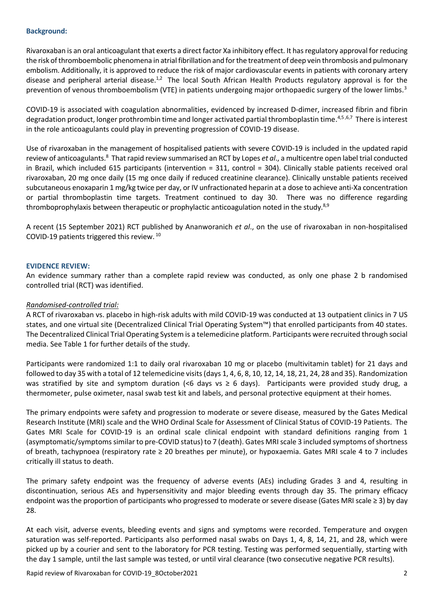### **Background:**

Rivaroxaban is an oral anticoagulant that exerts a direct factor Xa inhibitory effect. It has regulatory approval forreducing the risk of thromboembolic phenomena in atrial fibrillation and for the treatment of deep vein thrombosis and pulmonary embolism. Additionally, it is approved to reduce the risk of major cardiovascular events in patients with coronary artery disease and peripheral arterial disease.<sup>1,2</sup> The local South African Health Products regulatory approval is for the prevention of venous thromboembolism (VTE) in patients undergoing major orthopaedic surgery of the lower limbs.<sup>3</sup>

COVID-19 is associated with coagulation abnormalities, evidenced by increased D-dimer, increased fibrin and fibrin degradation product, longer prothrombin time and longer activated partial thromboplastin time.<sup>4,5,6,7</sup> There is interest in the role anticoagulants could play in preventing progression of COVID-19 disease.

<span id="page-1-0"></span>Use of rivaroxaban in the management of hospitalised patients with severe COVID-19 is included in the updated rapid review of anticoagulants.<sup>8</sup> That rapid review summarised an RCT by Lopes *et al.*, a multicentre open label trial conducted in Brazil, which included 615 participants (intervention = 311, control = 304). Clinically stable patients received oral rivaroxaban, 20 mg once daily (15 mg once daily if reduced creatinine clearance). Clinically unstable patients received subcutaneous enoxaparin 1 mg/kg twice per day, or IV unfractionated heparin at a dose to achieve anti-Xa concentration or partial thromboplastin time targets. Treatment continued to day 30. There was no difference regarding thromboprophylaxis between therapeutic or prophylactic anticoagulation noted in the study. $8,9$ 

A recent (15 September 2021) RCT published by Ananworanich *et al*., on the use of rivaroxaban in non-hospitalised COVID-19 patients triggered this review. 10

#### **EVIDENCE REVIEW:**

An evidence summary rather than a complete rapid review was conducted, as only one phase 2 b randomised controlled trial (RCT) was identified.

#### *Randomised-controlled trial:*

A RCT of rivaroxaban vs. placebo in high-risk adults with mild COVID-19 was conducted at 13 outpatient clinics in 7 US states, and one virtual site (Decentralized Clinical Trial Operating System™) that enrolled participants from 40 states. The Decentralized Clinical Trial Operating System is a telemedicine platform. Participants were recruited through social media. See Table 1 for further details of the study.

Participants were randomized 1:1 to daily oral rivaroxaban 10 mg or placebo (multivitamin tablet) for 21 days and followed to day 35 with a total of 12 telemedicine visits (days 1, 4, 6, 8, 10, 12, 14, 18, 21, 24, 28 and 35). Randomization was stratified by site and symptom duration (<6 days  $v \ge 6$  days). Participants were provided study drug, a thermometer, pulse oximeter, nasal swab test kit and labels, and personal protective equipment at their homes.

The primary endpoints were safety and progression to moderate or severe disease, measured by the Gates Medical Research Institute (MRI) scale and the WHO Ordinal Scale for Assessment of Clinical Status of COVID-19 Patients. The Gates MRI Scale for COVID-19 is an ordinal scale clinical endpoint with standard definitions ranging from 1 (asymptomatic/symptoms similar to pre-COVID status) to 7 (death). Gates MRI scale 3 included symptoms of shortness of breath, tachypnoea (respiratory rate ≥ 20 breathes per minute), or hypoxaemia. Gates MRI scale 4 to 7 includes critically ill status to death.

The primary safety endpoint was the frequency of adverse events (AEs) including Grades 3 and 4, resulting in discontinuation, serious AEs and hypersensitivity and major bleeding events through day 35. The primary efficacy endpoint was the proportion of participants who progressed to moderate or severe disease (Gates MRI scale ≥ 3) by day 28.

At each visit, adverse events, bleeding events and signs and symptoms were recorded. Temperature and oxygen saturation was self-reported. Participants also performed nasal swabs on Days 1, 4, 8, 14, 21, and 28, which were picked up by a courier and sent to the laboratory for PCR testing. Testing was performed sequentially, starting with the day 1 sample, until the last sample was tested, or until viral clearance (two consecutive negative PCR results).

Rapid review of Rivaroxaban for COVID-19\_8October2021 2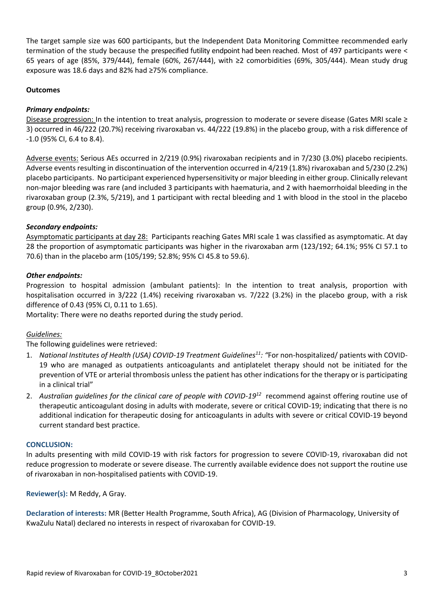The target sample size was 600 participants, but the Independent Data Monitoring Committee recommended early termination of the study because the prespecified futility endpoint had been reached. Most of 497 participants were < 65 years of age (85%, 379/444), female (60%, 267/444), with ≥2 comorbidities (69%, 305/444). Mean study drug exposure was 18.6 days and 82% had ≥75% compliance.

### **Outcomes**

### *Primary endpoints:*

Disease progression: In the intention to treat analysis, progression to moderate or severe disease (Gates MRI scale ≥ 3) occurred in 46/222 (20.7%) receiving rivaroxaban vs. 44/222 (19.8%) in the placebo group, with a risk difference of -1.0 (95% CI, 6.4 to 8.4).

Adverse events: Serious AEs occurred in 2/219 (0.9%) rivaroxaban recipients and in 7/230 (3.0%) placebo recipients. Adverse events resulting in discontinuation of the intervention occurred in 4/219 (1.8%) rivaroxaban and 5/230 (2.2%) placebo participants. No participant experienced hypersensitivity or major bleeding in either group. Clinically relevant non-major bleeding was rare (and included 3 participants with haematuria, and 2 with haemorrhoidal bleeding in the rivaroxaban group (2.3%, 5/219), and 1 participant with rectal bleeding and 1 with blood in the stool in the placebo group (0.9%, 2/230).

### *Secondary endpoints:*

Asymptomatic participants at day 28: Participants reaching Gates MRI scale 1 was classified as asymptomatic. At day 28 the proportion of asymptomatic participants was higher in the rivaroxaban arm (123/192; 64.1%; 95% CI 57.1 to 70.6) than in the placebo arm (105/199; 52.8%; 95% CI 45.8 to 59.6).

### *Other endpoints:*

Progression to hospital admission (ambulant patients): In the intention to treat analysis, proportion with hospitalisation occurred in 3/222 (1.4%) receiving rivaroxaban vs. 7/222 (3.2%) in the placebo group, with a risk difference of 0.43 (95% CI, 0.11 to 1.65).

Mortality: There were no deaths reported during the study period.

### *Guidelines:*

The following guidelines were retrieved:

- 1. *National Institutes of Health (USA) COVID-19 Treatment Guidelines<sup>11</sup>: "*For non-hospitalized/ patients with COVID-19 who are managed as outpatients anticoagulants and antiplatelet therapy should not be initiated for the prevention of VTE or arterial thrombosis unless the patient has other indications for the therapy or is participating in a clinical trial"
- 2. *Australian guidelines for the clinical care of people with COVID-19<sup>12</sup>* recommend against offering routine use of therapeutic anticoagulant dosing in adults with moderate, severe or critical COVID-19; indicating that there is no additional indication for therapeutic dosing for anticoagulants in adults with severe or critical COVID-19 beyond current standard best practice.

### **CONCLUSION:**

In adults presenting with mild COVID-19 with risk factors for progression to severe COVID-19, rivaroxaban did not reduce progression to moderate or severe disease. The currently available evidence does not support the routine use of rivaroxaban in non-hospitalised patients with COVID-19.

**Reviewer(s):** M Reddy, A Gray.

**Declaration of interests:** MR (Better Health Programme, South Africa), AG (Division of Pharmacology, University of KwaZulu Natal) declared no interests in respect of rivaroxaban for COVID-19.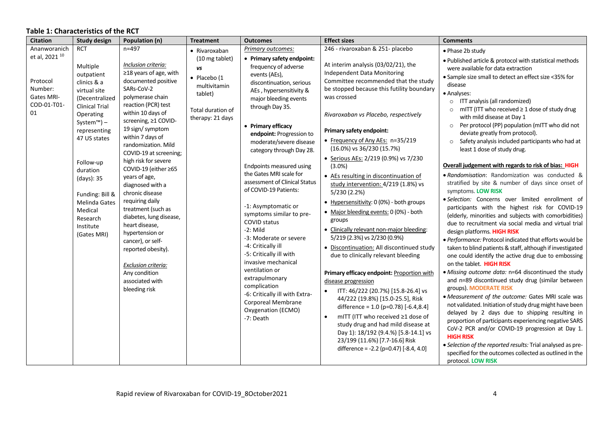## **Table 1: Characteristics of the RCT**

| <b>Citation</b>                                                                                            | <b>Study design</b>                                                                                                                                         | Population (n)                                                                                                                                                                                                                                                                                                                                                                                            | <b>Treatment</b>                                                                                                          | <b>Outcomes</b>                                                                                                                                                                                                                                                                                                                                                                                                                                                                                                                                                                                                                                                                                                                                                                                                                                                                                                                                                                                                                                                                                                                                                                                                                                                                                                                                                                                                                                                                                 | <b>Effect sizes</b>                                                                                                                                                                                                                                                                                                                                                                                                                                                                                                                                                                                                                                                                                                                                                                                                                                                                                                                                                                                                                                                                                                                                                                                                                                                                                                                             | <b>Comments</b>                                                                                                                                                                                                                                                                                                                                                                          |
|------------------------------------------------------------------------------------------------------------|-------------------------------------------------------------------------------------------------------------------------------------------------------------|-----------------------------------------------------------------------------------------------------------------------------------------------------------------------------------------------------------------------------------------------------------------------------------------------------------------------------------------------------------------------------------------------------------|---------------------------------------------------------------------------------------------------------------------------|-------------------------------------------------------------------------------------------------------------------------------------------------------------------------------------------------------------------------------------------------------------------------------------------------------------------------------------------------------------------------------------------------------------------------------------------------------------------------------------------------------------------------------------------------------------------------------------------------------------------------------------------------------------------------------------------------------------------------------------------------------------------------------------------------------------------------------------------------------------------------------------------------------------------------------------------------------------------------------------------------------------------------------------------------------------------------------------------------------------------------------------------------------------------------------------------------------------------------------------------------------------------------------------------------------------------------------------------------------------------------------------------------------------------------------------------------------------------------------------------------|-------------------------------------------------------------------------------------------------------------------------------------------------------------------------------------------------------------------------------------------------------------------------------------------------------------------------------------------------------------------------------------------------------------------------------------------------------------------------------------------------------------------------------------------------------------------------------------------------------------------------------------------------------------------------------------------------------------------------------------------------------------------------------------------------------------------------------------------------------------------------------------------------------------------------------------------------------------------------------------------------------------------------------------------------------------------------------------------------------------------------------------------------------------------------------------------------------------------------------------------------------------------------------------------------------------------------------------------------|------------------------------------------------------------------------------------------------------------------------------------------------------------------------------------------------------------------------------------------------------------------------------------------------------------------------------------------------------------------------------------------|
| Ananworanich<br>et al, 2021 <sup>10</sup><br>Protocol<br>Number:<br><b>Gates MRI-</b><br>COD-01-T01-<br>01 | <b>RCT</b><br>Multiple<br>outpatient<br>clinics & a<br>virtual site<br>(Decentralized<br><b>Clinical Trial</b><br>Operating<br>System™) $-$<br>representing | $n = 497$<br>Inclusion criteria:<br>$\geq$ 18 years of age, with<br>documented positive<br>SARs-CoV-2<br>polymerase chain<br>reaction (PCR) test<br>within 10 days of<br>screening, ≥1 COVID-<br>19 sign/symptom                                                                                                                                                                                          | • Rivaroxaban<br>(10 mg tablet)<br>VS<br>· Placebo (1<br>multivitamin<br>tablet)<br>Total duration of<br>therapy: 21 days | Primary outcomes:<br>• Primary safety endpoint:<br>frequency of adverse<br>events (AEs),<br>discontinuation, serious<br>AEs, hypersensitivity &<br>major bleeding events<br>through Day 35.<br>• Primary efficacy                                                                                                                                                                                                                                                                                                                                                                                                                                                                                                                                                                                                                                                                                                                                                                                                                                                                                                                                                                                                                                                                                                                                                                                                                                                                               | 246 - rivaroxaban & 251- placebo<br>At interim analysis (03/02/21), the<br>Independent Data Monitoring<br>Committee recommended that the study<br>be stopped because this futility boundary<br>was crossed<br>Rivaroxaban vs Placebo, respectively                                                                                                                                                                                                                                                                                                                                                                                                                                                                                                                                                                                                                                                                                                                                                                                                                                                                                                                                                                                                                                                                                              | • Phase 2b study<br>. Published article & protocol with statistical methods<br>were available for data extraction<br>• Sample size small to detect an effect size <35% for<br>disease<br>· Analyses:<br>o ITT analysis (all randomized)<br>mITT (ITT who received $\geq 1$ dose of study drug<br>with mild disease at Day 1<br>Per protocol (PP) population (mITT who did not<br>$\circ$ |
|                                                                                                            | 47 US states<br>Follow-up<br>duration<br>(days): 35<br>Funding: Bill &<br>Melinda Gates<br>Medical<br>Research<br>Institute<br>(Gates MRI)                  | within 7 days of<br>randomization. Mild<br>COVID-19 at screening;<br>high risk for severe<br>COVID-19 (either ≥65<br>years of age,<br>diagnosed with a<br>chronic disease<br>requiring daily<br>treatment (such as<br>diabetes, lung disease,<br>heart disease,<br>hypertension or<br>cancer), or self-<br>reported obesity).<br>Exclusion criteria:<br>Any condition<br>associated with<br>bleeding risk |                                                                                                                           | Primary safety endpoint:<br>endpoint: Progression to<br>• Frequency of Any AEs: n=35/219<br>$\circ$<br>moderate/severe disease<br>(16.0%) vs 36/230 (15.7%)<br>category through Day 28.<br>• Serious AEs: 2/219 (0.9%) vs 7/230<br>Endpoints measured using<br>$(3.0\%)$<br>the Gates MRI scale for<br>• AEs resulting in discontinuation of<br>assessment of Clinical Status<br>study intervention: 4/219 (1.8%) vs<br>of COVID-19 Patients:<br>5/230 (2.2%)<br>• Hypersensitivity: 0 (0%) - both groups<br>-1: Asymptomatic or<br>• Major bleeding events: 0 (0%) - both<br>symptoms similar to pre-<br>groups<br><b>COVID status</b><br>$-2$ : Mild<br>• Clinically relevant non-major bleeding:<br>5/219 (2.3%) vs 2/230 (0.9%)<br>-3: Moderate or severe<br>-4: Critically ill<br>· Discontinuation: All discontinued study<br>-5: Critically ill with<br>due to clinically relevant bleeding<br>invasive mechanical<br>ventilation or<br>Primary efficacy endpoint: Proportion with<br>extrapulmonary<br>disease progression<br>complication<br>ITT: 46/222 (20.7%) [15.8-26.4] vs<br>$\bullet$<br>-6: Critically ill with Extra-<br>44/222 (19.8%) [15.0-25.5], Risk<br>Corporeal Membrane<br>difference = 1.0 (p=0.78) [-6.4,8.4]<br>Oxygenation (ECMO)<br>mITT (ITT who received ≥1 dose of<br>-7: Death<br>study drug and had mild disease at<br>Day 1): 18/192 (9.4.%) [5.8-14.1] vs<br><b>HIGH RISK</b><br>23/199 (11.6%) [7.7-16.6] Risk<br>difference = -2.2 (p=0.47) [-8.4, 4.0] | deviate greatly from protocol).<br>Safety analysis included participants who had at<br>least 1 dose of study drug.<br>Overall judgement with regards to risk of bias: HIGH<br>. Randomisation: Randomization was conducted &<br>stratified by site & number of days since onset of<br>symptoms. LOW RISK<br>· Selection: Concerns over limited enrollment of<br>participants with the highest risk for COVID-19<br>(elderly, minorities and subjects with comorbidities)<br>due to recruitment via social media and virtual trial<br>design platforms. HIGH RISK<br>· Performance: Protocol indicated that efforts would be<br>taken to blind patients & staff, although if investigated<br>one could identify the active drug due to embossing<br>on the tablet. HIGH RISK<br>· Missing outcome data: n=64 discontinued the study<br>and n=89 discontinued study drug (similar between<br>groups). MODERATE RISK<br>• Measurement of the outcome: Gates MRI scale was<br>not validated. Initiation of study drug might have been<br>delayed by 2 days due to shipping resulting in<br>proportion of participants experiencing negative SARS<br>CoV-2 PCR and/or COVID-19 progression at Day 1.<br>• Selection of the reported results: Trial analysed as pre-<br>specified for the outcomes collected as outlined in the<br>protocol. LOW RISK |                                                                                                                                                                                                                                                                                                                                                                                          |